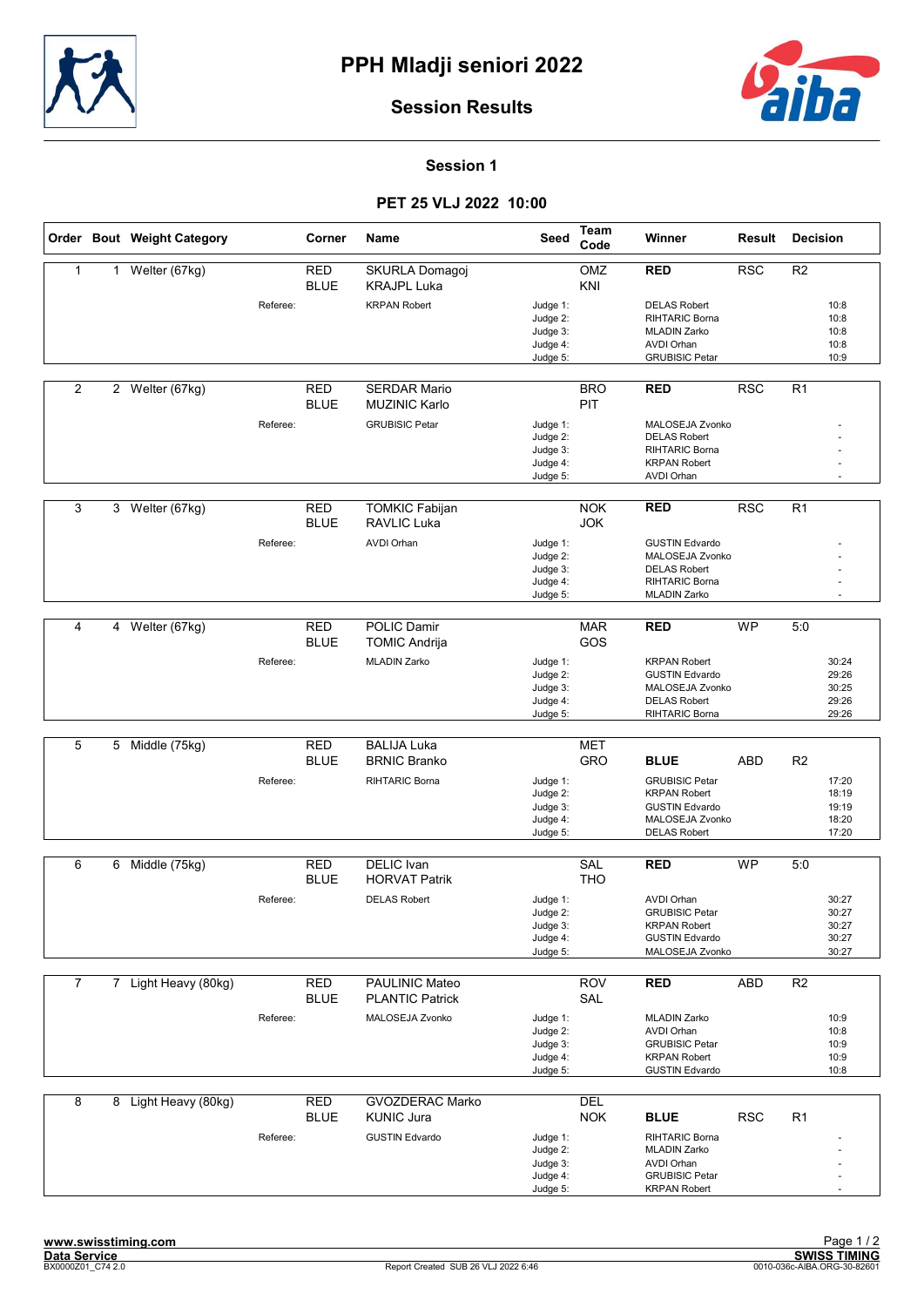



#### Session 1

### PET 25 VLJ 2022 10:00

|                |   | Order Bout Weight Category |          | Corner                    | Name                                        | Seed                                                     | <b>Team</b><br>Code      | Winner                                                                                                            | Result     | <b>Decision</b> |                                           |
|----------------|---|----------------------------|----------|---------------------------|---------------------------------------------|----------------------------------------------------------|--------------------------|-------------------------------------------------------------------------------------------------------------------|------------|-----------------|-------------------------------------------|
| $\mathbf{1}$   | 1 | Welter (67kg)              |          | <b>RED</b><br><b>BLUE</b> | SKURLA Domagoj<br><b>KRAJPL Luka</b>        |                                                          | OMZ<br>KNI               | <b>RED</b>                                                                                                        | <b>RSC</b> | R2              |                                           |
|                |   |                            | Referee: |                           | <b>KRPAN Robert</b>                         | Judge 1:<br>Judge 2:<br>Judge 3:<br>Judge 4:<br>Judge 5: |                          | <b>DELAS Robert</b><br><b>RIHTARIC Borna</b><br><b>MLADIN Zarko</b><br><b>AVDI Orhan</b><br><b>GRUBISIC Petar</b> |            |                 | 10:8<br>10:8<br>10:8<br>10:8<br>10:9      |
| 2              |   | 2 Welter (67kg)            |          | <b>RED</b><br><b>BLUE</b> | <b>SERDAR Mario</b><br><b>MUZINIC Karlo</b> |                                                          | <b>BRO</b><br>PIT        | <b>RED</b>                                                                                                        | <b>RSC</b> | R <sub>1</sub>  |                                           |
|                |   |                            | Referee: |                           | <b>GRUBISIC Petar</b>                       | Judge 1:<br>Judge 2:<br>Judge 3:<br>Judge 4:<br>Judge 5: |                          | MALOSEJA Zvonko<br><b>DELAS Robert</b><br><b>RIHTARIC Borna</b><br><b>KRPAN Robert</b><br><b>AVDI Orhan</b>       |            |                 |                                           |
| 3              |   | 3 Welter (67kg)            |          | RED<br><b>BLUE</b>        | <b>TOMKIC Fabijan</b><br><b>RAVLIC Luka</b> |                                                          | <b>NOK</b><br><b>JOK</b> | <b>RED</b>                                                                                                        | <b>RSC</b> | R <sub>1</sub>  |                                           |
|                |   |                            | Referee: |                           | <b>AVDI Orhan</b>                           | Judge 1:<br>Judge 2:<br>Judge 3:<br>Judge 4:<br>Judge 5: |                          | <b>GUSTIN Edvardo</b><br>MALOSEJA Zvonko<br><b>DELAS Robert</b><br><b>RIHTARIC Borna</b><br><b>MLADIN Zarko</b>   |            |                 |                                           |
|                |   |                            |          |                           |                                             |                                                          |                          |                                                                                                                   |            |                 |                                           |
| 4              |   | 4 Welter (67kg)            |          | <b>RED</b><br><b>BLUE</b> | <b>POLIC Damir</b><br><b>TOMIC Andrija</b>  |                                                          | <b>MAR</b><br>GOS        | <b>RED</b>                                                                                                        | <b>WP</b>  | 5:0             |                                           |
|                |   |                            | Referee: |                           | <b>MLADIN Zarko</b>                         | Judge 1:<br>Judge 2:<br>Judge 3:<br>Judge 4:<br>Judge 5: |                          | <b>KRPAN Robert</b><br><b>GUSTIN Edvardo</b><br>MALOSEJA Zvonko<br><b>DELAS Robert</b><br>RIHTARIC Borna          |            |                 | 30:24<br>29:26<br>30:25<br>29:26<br>29:26 |
|                |   |                            |          |                           |                                             |                                                          |                          |                                                                                                                   |            |                 |                                           |
| 5              |   | 5 Middle (75kg)            |          | <b>RED</b><br><b>BLUE</b> | <b>BALIJA Luka</b><br><b>BRNIC Branko</b>   |                                                          | <b>MET</b><br>GRO        | <b>BLUE</b>                                                                                                       | ABD        | R <sub>2</sub>  |                                           |
|                |   |                            | Referee: |                           | RIHTARIC Borna                              | Judge 1:<br>Judge 2:<br>Judge 3:<br>Judge 4:<br>Judge 5: |                          | <b>GRUBISIC Petar</b><br><b>KRPAN Robert</b><br><b>GUSTIN Edvardo</b><br>MALOSEJA Zvonko<br><b>DELAS Robert</b>   |            |                 | 17:20<br>18:19<br>19:19<br>18:20<br>17:20 |
| 6              |   | 6 Middle (75kg)            |          | RED                       | <b>DELIC</b> Ivan                           |                                                          | SAL                      | <b>RED</b>                                                                                                        | <b>WP</b>  | 5:0             |                                           |
|                |   |                            |          | <b>BLUE</b>               | <b>HORVAT Patrik</b>                        |                                                          | <b>THO</b>               |                                                                                                                   |            |                 |                                           |
|                |   |                            | Referee: |                           | <b>DELAS Robert</b>                         | Judge 1:<br>Judge 2:<br>Judge 3:<br>Judge 4:<br>Judge 5: |                          | <b>AVDI Orhan</b><br><b>GRUBISIC Petar</b><br><b>KRPAN Robert</b><br><b>GUSTIN Edvardo</b><br>MALOSEJA Zvonko     |            |                 | 30:27<br>30:27<br>30:27<br>30:27<br>30:27 |
| $\overline{7}$ |   | 7 Light Heavy (80kg)       |          | <b>RED</b>                | PAULINIC Mateo                              |                                                          | <b>ROV</b>               | <b>RED</b>                                                                                                        | ABD        | R <sub>2</sub>  |                                           |
|                |   |                            |          | <b>BLUE</b>               | <b>PLANTIC Patrick</b>                      |                                                          | SAL                      |                                                                                                                   |            |                 |                                           |
|                |   |                            | Referee: |                           | MALOSEJA Zvonko                             | Judge 1:<br>Judge 2:<br>Judge 3:<br>Judge 4:<br>Judge 5: |                          | <b>MLADIN Zarko</b><br><b>AVDI Orhan</b><br><b>GRUBISIC Petar</b><br><b>KRPAN Robert</b><br><b>GUSTIN Edvardo</b> |            |                 | 10:9<br>10:8<br>10:9<br>10:9<br>10:8      |
| 8              |   | 8 Light Heavy (80kg)       |          | <b>RED</b><br><b>BLUE</b> | <b>GVOZDERAC Marko</b><br><b>KUNIC Jura</b> |                                                          | DEL<br><b>NOK</b>        | <b>BLUE</b>                                                                                                       | <b>RSC</b> | R <sub>1</sub>  |                                           |
|                |   |                            | Referee: |                           | <b>GUSTIN Edvardo</b>                       | Judge 1:<br>Judge 2:<br>Judge 3:<br>Judge 4:<br>Judge 5: |                          | RIHTARIC Borna<br><b>MLADIN Zarko</b><br><b>AVDI Orhan</b><br><b>GRUBISIC Petar</b><br><b>KRPAN Robert</b>        |            |                 |                                           |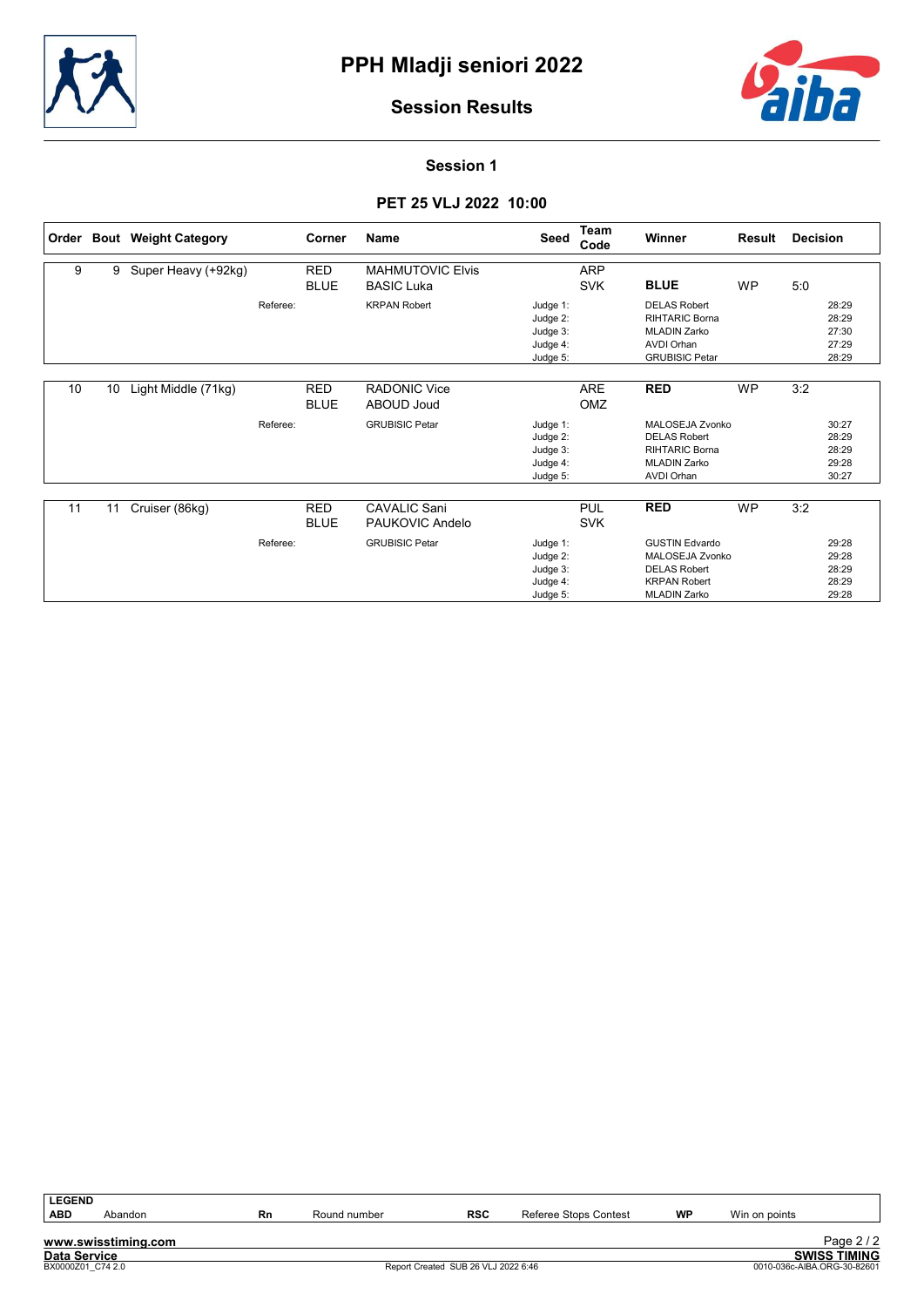



Session 1

# PET 25 VLJ 2022 10:00

| Order |                 | <b>Bout Weight Category</b> |          | Corner      | <b>Name</b>             | Seed     | <b>Team</b><br>Code | Winner                 | Result    | <b>Decision</b> |       |
|-------|-----------------|-----------------------------|----------|-------------|-------------------------|----------|---------------------|------------------------|-----------|-----------------|-------|
| 9     | 9               | Super Heavy (+92kg)         |          | <b>RED</b>  | <b>MAHMUTOVIC Elvis</b> |          | <b>ARP</b>          |                        |           |                 |       |
|       |                 |                             |          | <b>BLUE</b> | <b>BASIC Luka</b>       |          | <b>SVK</b>          | <b>BLUE</b>            | <b>WP</b> | 5:0             |       |
|       |                 |                             | Referee: |             | <b>KRPAN Robert</b>     | Judge 1: |                     | <b>DELAS Robert</b>    |           |                 | 28:29 |
|       |                 |                             |          |             |                         | Judge 2: |                     | RIHTARIC Borna         |           |                 | 28:29 |
|       |                 |                             |          |             |                         | Judge 3: |                     | <b>MLADIN Zarko</b>    |           |                 | 27:30 |
|       |                 |                             |          |             |                         | Judge 4: |                     | <b>AVDI Orhan</b>      |           |                 | 27:29 |
|       |                 |                             |          |             |                         | Judge 5: |                     | <b>GRUBISIC Petar</b>  |           |                 | 28:29 |
|       |                 |                             |          |             |                         |          |                     |                        |           |                 |       |
| 10    | 10 <sup>°</sup> | Light Middle (71kg)         |          | <b>RED</b>  | <b>RADONIC Vice</b>     |          | <b>ARE</b>          | <b>RED</b>             | <b>WP</b> | 3:2             |       |
|       |                 |                             |          | <b>BLUE</b> | <b>ABOUD Joud</b>       |          | OMZ                 |                        |           |                 |       |
|       |                 |                             | Referee: |             | <b>GRUBISIC Petar</b>   | Judge 1: |                     | MALOSEJA Zvonko        |           |                 | 30:27 |
|       |                 |                             |          |             |                         | Judge 2: |                     | <b>DELAS Robert</b>    |           |                 | 28:29 |
|       |                 |                             |          |             |                         | Judge 3: |                     | <b>RIHTARIC Borna</b>  |           |                 | 28:29 |
|       |                 |                             |          |             |                         | Judge 4: |                     | <b>MLADIN Zarko</b>    |           |                 | 29:28 |
|       |                 |                             |          |             |                         | Judge 5: |                     | <b>AVDI Orhan</b>      |           |                 | 30:27 |
|       |                 |                             |          |             |                         |          |                     |                        |           |                 |       |
| 11    | 11              | Cruiser (86kg)              |          | <b>RED</b>  | <b>CAVALIC Sani</b>     |          | <b>PUL</b>          | <b>RED</b>             | <b>WP</b> | 3:2             |       |
|       |                 |                             |          | <b>BLUE</b> | PAUKOVIC Andelo         |          | <b>SVK</b>          |                        |           |                 |       |
|       |                 |                             | Referee: |             | <b>GRUBISIC Petar</b>   | Judge 1: |                     | <b>GUSTIN Edvardo</b>  |           |                 | 29:28 |
|       |                 |                             |          |             |                         | Judge 2: |                     | <b>MALOSEJA Zvonko</b> |           |                 | 29:28 |
|       |                 |                             |          |             |                         | Judge 3: |                     | <b>DELAS Robert</b>    |           |                 | 28:29 |
|       |                 |                             |          |             |                         | Judge 4: |                     | <b>KRPAN Robert</b>    |           |                 | 28:29 |
|       |                 |                             |          |             |                         | Judge 5: |                     | <b>MLADIN Zarko</b>    |           |                 | 29:28 |

| <b>LEGEND</b>       |                     |           |              |                                     |                       |           |               |                             |
|---------------------|---------------------|-----------|--------------|-------------------------------------|-----------------------|-----------|---------------|-----------------------------|
| <b>ABD</b>          | Abandon             | <b>Rn</b> | Round number | <b>RSC</b>                          | Referee Stops Contest | <b>WP</b> | Win on points |                             |
|                     |                     |           |              |                                     |                       |           |               |                             |
|                     | www.swisstiming.com |           |              |                                     |                       |           |               | Page $2/2$                  |
| <b>Data Service</b> |                     |           |              |                                     |                       |           |               | <b>SWISS TIMING</b>         |
| BX0000Z01 C74 2.0   |                     |           |              | Report Created SUB 26 VLJ 2022 6:46 |                       |           |               | 0010-036c-AIBA.ORG-30-82601 |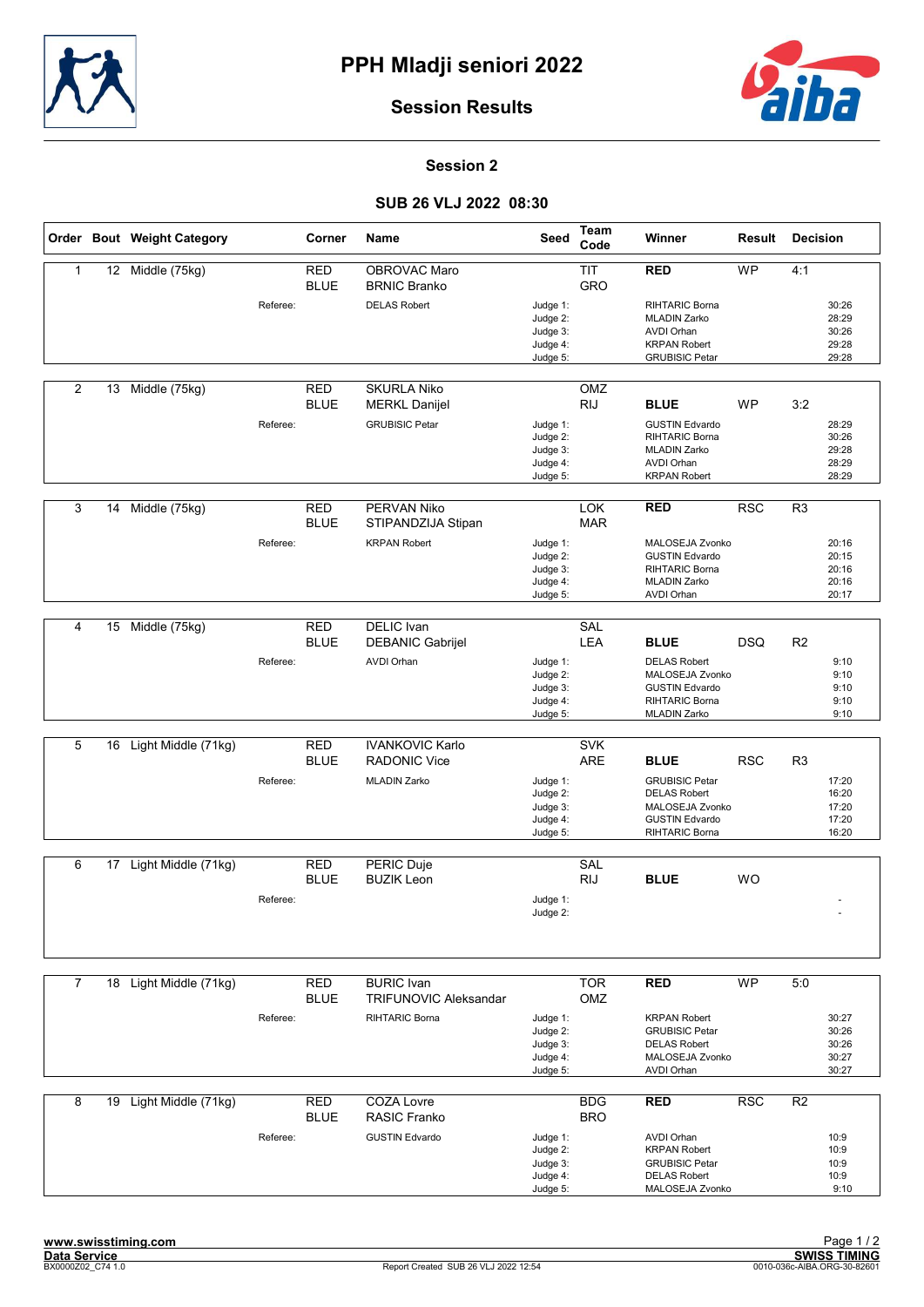



#### Session 2

## SUB 26 VLJ 2022 08:30

|                |    | Order Bout Weight Category |          | Corner                    | Name                                              | Seed                                                     | Team<br>Code             | Winner                                                                                                            | Result     | <b>Decision</b> |                                           |
|----------------|----|----------------------------|----------|---------------------------|---------------------------------------------------|----------------------------------------------------------|--------------------------|-------------------------------------------------------------------------------------------------------------------|------------|-----------------|-------------------------------------------|
| 1              |    | 12 Middle (75kg)           |          | <b>RED</b><br><b>BLUE</b> | OBROVAC Maro<br><b>BRNIC Branko</b>               |                                                          | <b>TIT</b><br>GRO        | <b>RED</b>                                                                                                        | WP         | 4:1             |                                           |
|                |    |                            | Referee: |                           | <b>DELAS Robert</b>                               | Judge 1:<br>Judge 2:<br>Judge 3:<br>Judge 4:<br>Judge 5: |                          | <b>RIHTARIC Borna</b><br><b>MLADIN Zarko</b><br><b>AVDI Orhan</b><br><b>KRPAN Robert</b><br><b>GRUBISIC Petar</b> |            |                 | 30:26<br>28:29<br>30:26<br>29:28<br>29:28 |
| 2              | 13 | Middle (75kg)              |          | <b>RED</b><br><b>BLUE</b> | <b>SKURLA Niko</b><br><b>MERKL Danijel</b>        |                                                          | OMZ<br><b>RIJ</b>        | <b>BLUE</b>                                                                                                       | <b>WP</b>  | 3:2             |                                           |
|                |    |                            | Referee: |                           | <b>GRUBISIC Petar</b>                             | Judge 1:<br>Judge 2:<br>Judge 3:<br>Judge 4:<br>Judge 5: |                          | <b>GUSTIN Edvardo</b><br>RIHTARIC Borna<br><b>MLADIN Zarko</b><br><b>AVDI Orhan</b><br><b>KRPAN Robert</b>        |            |                 | 28:29<br>30:26<br>29:28<br>28:29<br>28:29 |
| 3              | 14 | Middle (75kg)              |          | <b>RED</b><br><b>BLUE</b> | PERVAN Niko<br>STIPANDZIJA Stipan                 |                                                          | <b>LOK</b><br><b>MAR</b> | <b>RED</b>                                                                                                        | <b>RSC</b> | R <sub>3</sub>  |                                           |
|                |    |                            | Referee: |                           | <b>KRPAN Robert</b>                               | Judge 1:<br>Judge 2:<br>Judge 3:<br>Judge 4:<br>Judge 5: |                          | MALOSEJA Zvonko<br><b>GUSTIN Edvardo</b><br><b>RIHTARIC Borna</b><br><b>MLADIN Zarko</b><br>AVDI Orhan            |            |                 | 20:16<br>20:15<br>20:16<br>20:16<br>20:17 |
| $\overline{4}$ | 15 | Middle (75kg)              |          | <b>RED</b>                | <b>DELIC</b> Ivan                                 |                                                          | SAL                      |                                                                                                                   |            |                 |                                           |
|                |    |                            |          | <b>BLUE</b>               | <b>DEBANIC Gabrijel</b>                           |                                                          | LEA                      | <b>BLUE</b>                                                                                                       | <b>DSQ</b> | R <sub>2</sub>  |                                           |
|                |    |                            | Referee: |                           | <b>AVDI Orhan</b>                                 | Judge 1:<br>Judge 2:<br>Judge 3:<br>Judge 4:<br>Judge 5: |                          | <b>DELAS Robert</b><br>MALOSEJA Zvonko<br><b>GUSTIN Edvardo</b><br><b>RIHTARIC Borna</b><br><b>MLADIN Zarko</b>   |            |                 | 9:10<br>9:10<br>9:10<br>9:10<br>9:10      |
| 5              | 16 | Light Middle (71kg)        |          | <b>RED</b>                | <b>IVANKOVIC Karlo</b>                            |                                                          | <b>SVK</b>               |                                                                                                                   |            |                 |                                           |
|                |    |                            |          | <b>BLUE</b>               | <b>RADONIC Vice</b>                               |                                                          | <b>ARE</b>               | <b>BLUE</b>                                                                                                       | <b>RSC</b> | R <sub>3</sub>  |                                           |
|                |    |                            | Referee: |                           | <b>MLADIN Zarko</b>                               | Judge 1:<br>Judge 2:<br>Judge 3:<br>Judge 4:<br>Judge 5: |                          | <b>GRUBISIC Petar</b><br><b>DELAS Robert</b><br>MALOSEJA Zvonko<br><b>GUSTIN Edvardo</b><br>RIHTARIC Borna        |            |                 | 17:20<br>16:20<br>17:20<br>17:20<br>16:20 |
| 6              | 17 | Light Middle (71kg)        |          | <b>RED</b>                | PERIC Duje                                        |                                                          | SAL                      |                                                                                                                   |            |                 |                                           |
|                |    |                            | Referee: | <b>BLUE</b>               | <b>BUZIK Leon</b>                                 | Judge 1:<br>Judge 2:                                     | <b>RIJ</b>               | <b>BLUE</b>                                                                                                       | <b>WO</b>  |                 |                                           |
|                |    |                            |          |                           |                                                   |                                                          |                          |                                                                                                                   |            |                 |                                           |
| $\overline{7}$ |    | 18 Light Middle (71kg)     |          | RED<br><b>BLUE</b>        | <b>BURIC</b> Ivan<br><b>TRIFUNOVIC Aleksandar</b> |                                                          | <b>TOR</b><br>OMZ        | <b>RED</b>                                                                                                        | <b>WP</b>  | 5:0             |                                           |
|                |    |                            | Referee: |                           | <b>RIHTARIC Borna</b>                             | Judge 1:<br>Judge 2:<br>Judge 3:<br>Judge 4:<br>Judge 5: |                          | <b>KRPAN Robert</b><br><b>GRUBISIC Petar</b><br><b>DELAS Robert</b><br>MALOSEJA Zvonko<br><b>AVDI Orhan</b>       |            |                 | 30:27<br>30:26<br>30:26<br>30:27<br>30:27 |
| 8              | 19 | Light Middle (71kg)        |          | <b>RED</b>                | <b>COZA Lovre</b>                                 |                                                          | <b>BDG</b>               | <b>RED</b>                                                                                                        | <b>RSC</b> | R <sub>2</sub>  |                                           |
|                |    |                            | Referee: | <b>BLUE</b>               | <b>RASIC Franko</b><br><b>GUSTIN Edvardo</b>      | Judge 1:<br>Judge 2:<br>Judge 3:<br>Judge 4:<br>Judge 5: | <b>BRO</b>               | <b>AVDI Orhan</b><br><b>KRPAN Robert</b><br><b>GRUBISIC Petar</b><br><b>DELAS Robert</b><br>MALOSEJA Zvonko       |            |                 | 10:9<br>10:9<br>10:9<br>10:9<br>9:10      |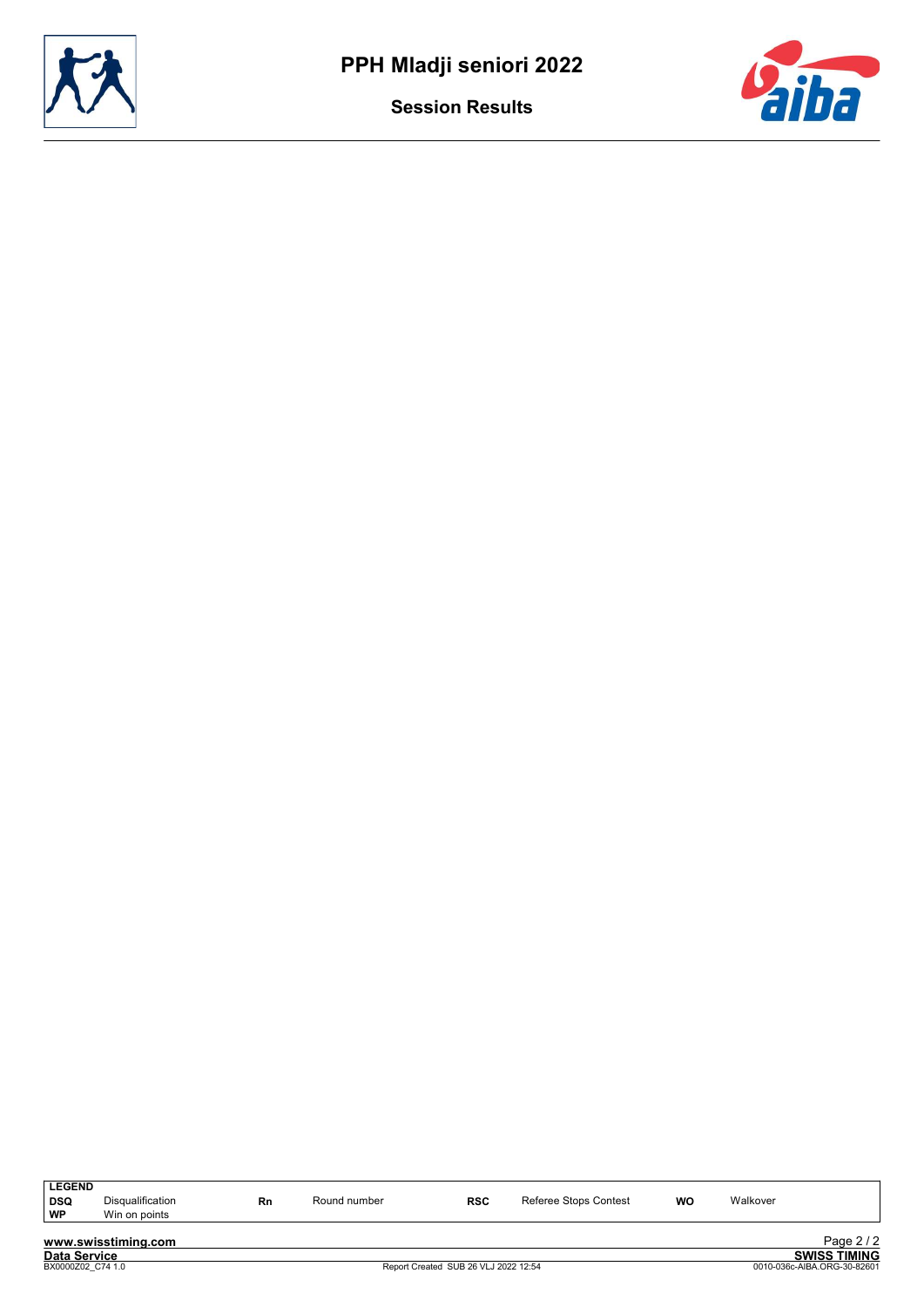



| <b>LEGEND</b>       |                     |    |              |            |                       |    |          |                     |
|---------------------|---------------------|----|--------------|------------|-----------------------|----|----------|---------------------|
| DSQ                 | Disqualification    | Rn | Round number | <b>RSC</b> | Referee Stops Contest | WO | Walkover |                     |
| WP                  | Win on points       |    |              |            |                       |    |          |                     |
|                     |                     |    |              |            |                       |    |          |                     |
|                     | www.swisstiming.com |    |              |            |                       |    |          | Page 2/2            |
| <b>Data Service</b> |                     |    |              |            |                       |    |          | <b>SWISS TIMING</b> |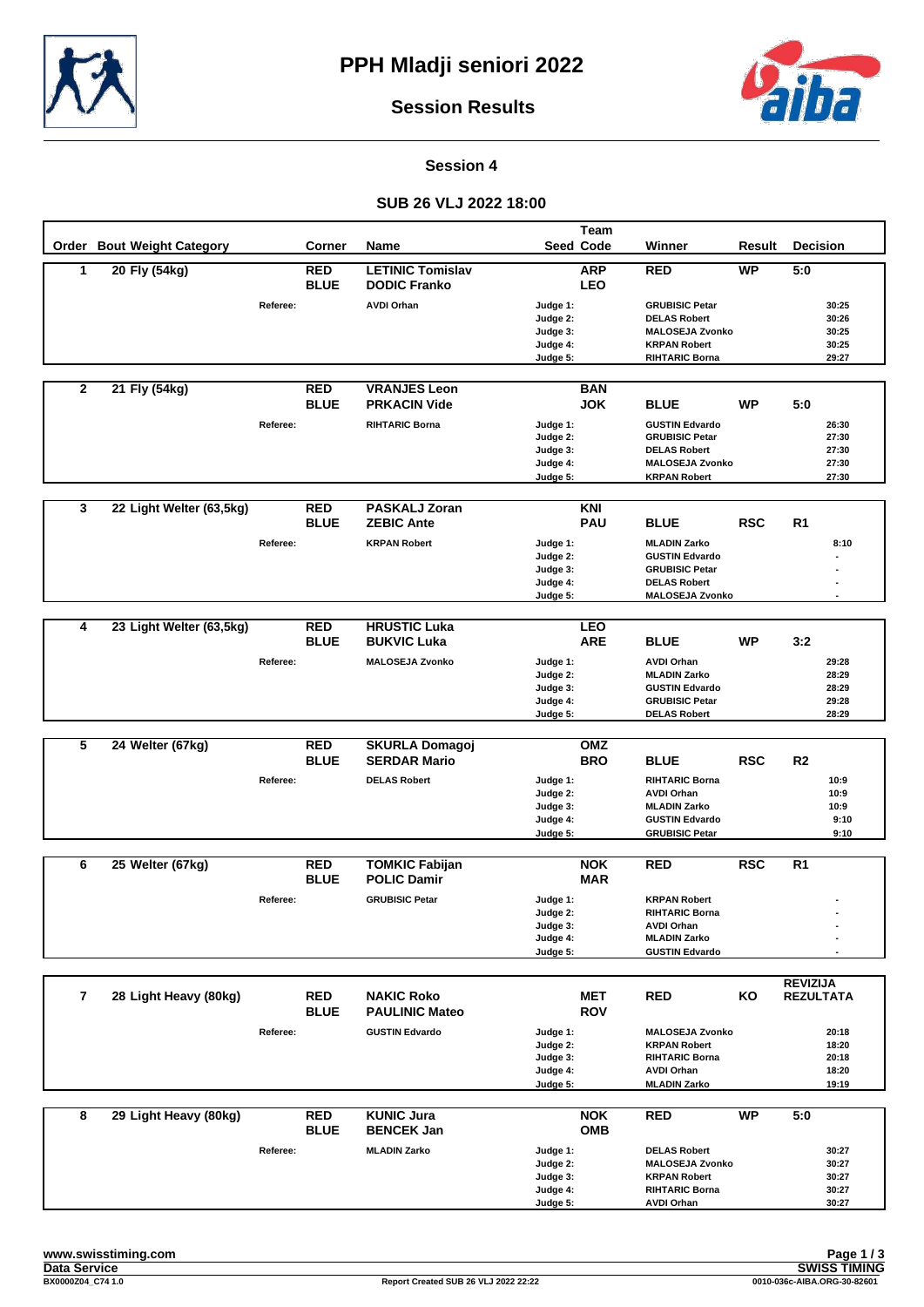



**Session 4**

#### **SUB 26 VLJ 2022 18:00**

|                |                            |          |               |                         |                      | <b>Team</b>      |                                                |            |                  |
|----------------|----------------------------|----------|---------------|-------------------------|----------------------|------------------|------------------------------------------------|------------|------------------|
|                | Order Bout Weight Category |          | <b>Corner</b> | Name                    |                      | <b>Seed Code</b> | Winner                                         | Result     | <b>Decision</b>  |
| 1              | 20 Fly (54kg)              |          | <b>RED</b>    | <b>LETINIC Tomislav</b> |                      | <b>ARP</b>       | <b>RED</b>                                     | <b>WP</b>  | 5:0              |
|                |                            |          | <b>BLUE</b>   | <b>DODIC Franko</b>     |                      | <b>LEO</b>       |                                                |            |                  |
|                |                            | Referee: |               | <b>AVDI Orhan</b>       | Judge 1:             |                  | <b>GRUBISIC Petar</b>                          |            | 30:25            |
|                |                            |          |               |                         | Judge 2:             |                  | <b>DELAS Robert</b>                            |            | 30:26            |
|                |                            |          |               |                         | Judge 3:             |                  | <b>MALOSEJA Zvonko</b>                         |            | 30:25            |
|                |                            |          |               |                         | Judge 4:             |                  | <b>KRPAN Robert</b>                            |            | 30:25            |
|                |                            |          |               |                         | Judge 5:             |                  | <b>RIHTARIC Borna</b>                          |            | 29:27            |
| $\mathbf{2}$   | 21 Fly (54kg)              |          | <b>RED</b>    | <b>VRANJES Leon</b>     |                      | <b>BAN</b>       |                                                |            |                  |
|                |                            |          | <b>BLUE</b>   | <b>PRKACIN Vide</b>     |                      | <b>JOK</b>       | <b>BLUE</b>                                    | WP         | 5:0              |
|                |                            |          |               |                         |                      |                  |                                                |            |                  |
|                |                            | Referee: |               | <b>RIHTARIC Borna</b>   | Judge 1:<br>Judge 2: |                  | <b>GUSTIN Edvardo</b><br><b>GRUBISIC Petar</b> |            | 26:30<br>27:30   |
|                |                            |          |               |                         | Judge 3:             |                  | <b>DELAS Robert</b>                            |            | 27:30            |
|                |                            |          |               |                         | Judge 4:             |                  | <b>MALOSEJA Zvonko</b>                         |            | 27:30            |
|                |                            |          |               |                         | Judge 5:             |                  | <b>KRPAN Robert</b>                            |            | 27:30            |
|                |                            |          |               |                         |                      |                  |                                                |            |                  |
| 3              | 22 Light Welter (63,5kg)   |          | <b>RED</b>    | <b>PASKALJ Zoran</b>    |                      | KNI              |                                                |            |                  |
|                |                            |          | <b>BLUE</b>   | <b>ZEBIC Ante</b>       |                      | <b>PAU</b>       | <b>BLUE</b>                                    | <b>RSC</b> | R1               |
|                |                            | Referee: |               | <b>KRPAN Robert</b>     | Judge 1:             |                  | <b>MLADIN Zarko</b>                            |            | 8:10             |
|                |                            |          |               |                         | Judge 2:<br>Judge 3: |                  | <b>GUSTIN Edvardo</b><br><b>GRUBISIC Petar</b> |            |                  |
|                |                            |          |               |                         | Judge 4:             |                  | <b>DELAS Robert</b>                            |            |                  |
|                |                            |          |               |                         | Judge 5:             |                  | <b>MALOSEJA Zvonko</b>                         |            |                  |
|                |                            |          |               |                         |                      |                  |                                                |            |                  |
| 4              | 23 Light Welter (63,5kg)   |          | <b>RED</b>    | <b>HRUSTIC Luka</b>     |                      | <b>LEO</b>       |                                                |            |                  |
|                |                            |          | <b>BLUE</b>   | <b>BUKVIC Luka</b>      |                      | <b>ARE</b>       | <b>BLUE</b>                                    | WP         | 3:2              |
|                |                            | Referee: |               | <b>MALOSEJA Zvonko</b>  | Judge 1:             |                  | <b>AVDI Orhan</b>                              |            | 29:28            |
|                |                            |          |               |                         | Judge 2:             |                  | <b>MLADIN Zarko</b>                            |            | 28:29            |
|                |                            |          |               |                         | Judge 3:<br>Judge 4: |                  | <b>GUSTIN Edvardo</b><br><b>GRUBISIC Petar</b> |            | 28:29<br>29:28   |
|                |                            |          |               |                         | Judge 5:             |                  | <b>DELAS Robert</b>                            |            | 28:29            |
|                |                            |          |               |                         |                      |                  |                                                |            |                  |
| 5              | 24 Welter (67kg)           |          | <b>RED</b>    | <b>SKURLA Domagoj</b>   |                      | OMZ              |                                                |            |                  |
|                |                            |          | <b>BLUE</b>   | <b>SERDAR Mario</b>     |                      | <b>BRO</b>       | <b>BLUE</b>                                    | <b>RSC</b> | R <sub>2</sub>   |
|                |                            | Referee: |               | <b>DELAS Robert</b>     | Judge 1:             |                  | <b>RIHTARIC Borna</b>                          |            | 10:9             |
|                |                            |          |               |                         | Judge 2:<br>Judge 3: |                  | <b>AVDI Orhan</b><br><b>MLADIN Zarko</b>       |            | 10:9<br>10:9     |
|                |                            |          |               |                         | Judge 4:             |                  | <b>GUSTIN Edvardo</b>                          |            | 9:10             |
|                |                            |          |               |                         | Judge 5:             |                  | <b>GRUBISIC Petar</b>                          |            | 9:10             |
|                |                            |          |               |                         |                      |                  |                                                |            |                  |
| 6              | 25 Welter (67kg)           |          | <b>RED</b>    | <b>TOMKIC Fabijan</b>   |                      | <b>NOK</b>       | <b>RED</b>                                     | <b>RSC</b> | R <sub>1</sub>   |
|                |                            |          | <b>BLUE</b>   | <b>POLIC Damir</b>      |                      | <b>MAR</b>       |                                                |            |                  |
|                |                            | Referee: |               | <b>GRUBISIC Petar</b>   | Judge 1:             |                  | <b>KRPAN Robert</b>                            |            |                  |
|                |                            |          |               |                         | Judge 2:             |                  | RIHTARIC Borna                                 |            |                  |
|                |                            |          |               |                         | Judge 3:<br>Judge 4: |                  | <b>AVDI Orhan</b><br><b>MLADIN Zarko</b>       |            |                  |
|                |                            |          |               |                         | Judge 5:             |                  | <b>GUSTIN Edvardo</b>                          |            |                  |
|                |                            |          |               |                         |                      |                  |                                                |            |                  |
|                |                            |          |               |                         |                      |                  |                                                |            | <b>REVIZIJA</b>  |
| $\overline{7}$ | 28 Light Heavy (80kg)      |          | <b>RED</b>    | <b>NAKIC Roko</b>       |                      | MET              | <b>RED</b>                                     | ΚO         | <b>REZULTATA</b> |
|                |                            |          | <b>BLUE</b>   | <b>PAULINIC Mateo</b>   |                      | <b>ROV</b>       |                                                |            |                  |
|                |                            | Referee: |               | <b>GUSTIN Edvardo</b>   | Judge 1:             |                  | <b>MALOSEJA Zvonko</b>                         |            | 20:18            |
|                |                            |          |               |                         | Judge 2:             |                  | <b>KRPAN Robert</b>                            |            | 18:20            |
|                |                            |          |               |                         | Judge 3:<br>Judge 4: |                  | <b>RIHTARIC Borna</b><br><b>AVDI Orhan</b>     |            | 20:18<br>18:20   |
|                |                            |          |               |                         | Judge 5:             |                  | <b>MLADIN Zarko</b>                            |            | 19:19            |
|                |                            |          |               |                         |                      |                  |                                                |            |                  |
| 8              | 29 Light Heavy (80kg)      |          | <b>RED</b>    | <b>KUNIC Jura</b>       |                      | <b>NOK</b>       | <b>RED</b>                                     | <b>WP</b>  | 5:0              |
|                |                            |          | <b>BLUE</b>   | <b>BENCEK Jan</b>       |                      | <b>OMB</b>       |                                                |            |                  |
|                |                            | Referee: |               | <b>MLADIN Zarko</b>     | Judge 1:             |                  | <b>DELAS Robert</b>                            |            | 30:27            |
|                |                            |          |               |                         | Judge 2:             |                  | <b>MALOSEJA Zvonko</b>                         |            | 30:27            |
|                |                            |          |               |                         | Judge 3:<br>Judge 4: |                  | <b>KRPAN Robert</b><br><b>RIHTARIC Borna</b>   |            | 30:27<br>30:27   |
|                |                            |          |               |                         | Judge 5:             |                  | <b>AVDI Orhan</b>                              |            | 30:27            |
|                |                            |          |               |                         |                      |                  |                                                |            |                  |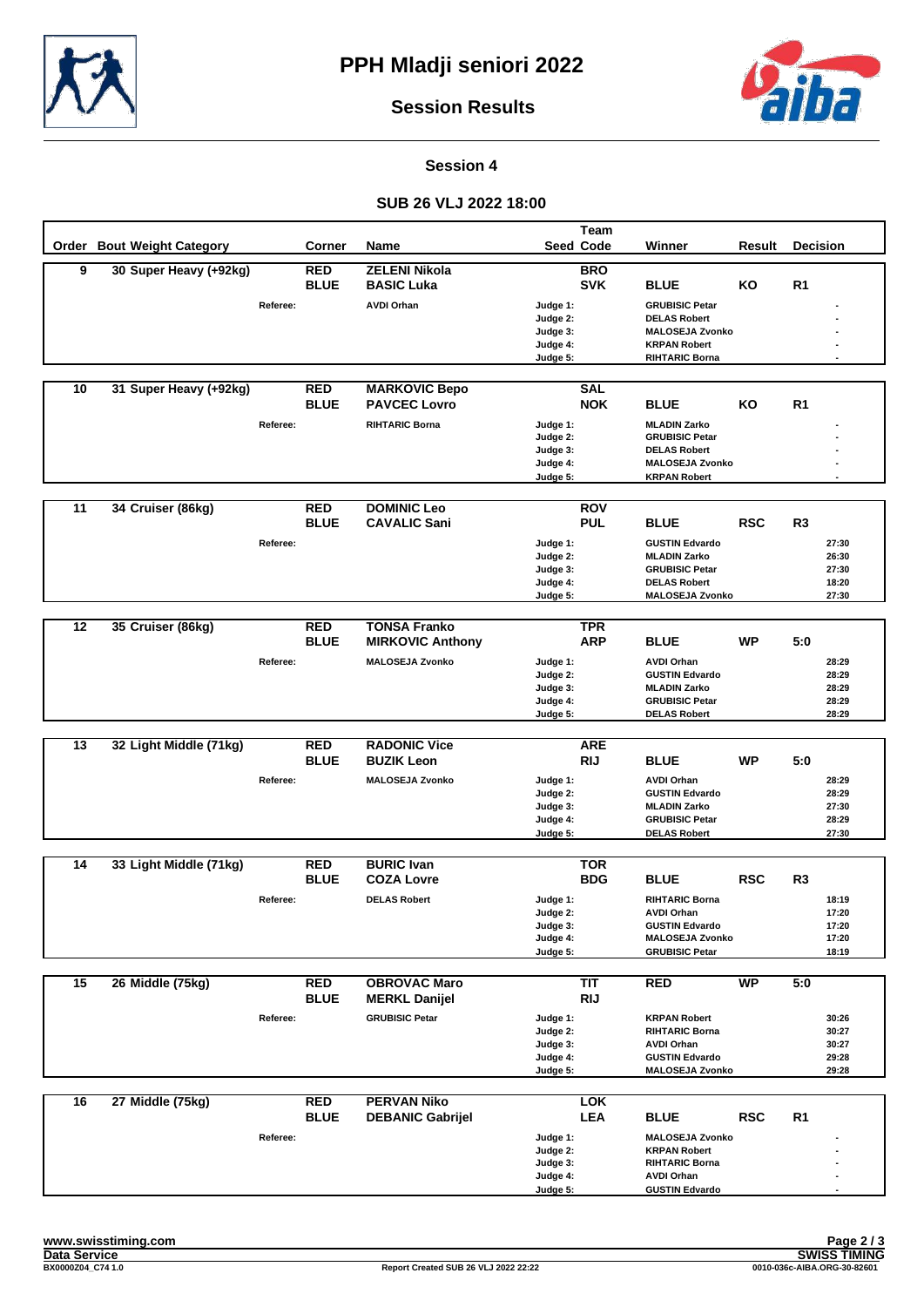



**Session 4**

#### **SUB 26 VLJ 2022 18:00**

|                 |                            |          |                           |                         |                      | Team                     |                                               |            |                 |                |
|-----------------|----------------------------|----------|---------------------------|-------------------------|----------------------|--------------------------|-----------------------------------------------|------------|-----------------|----------------|
|                 | Order Bout Weight Category |          | <b>Corner</b>             | Name                    |                      | <b>Seed Code</b>         | Winner                                        | Result     | <b>Decision</b> |                |
| $\overline{9}$  | 30 Super Heavy (+92kg)     |          | <b>RED</b>                | <b>ZELENI Nikola</b>    |                      | <b>BRO</b>               |                                               |            |                 |                |
|                 |                            |          | <b>BLUE</b>               | <b>BASIC Luka</b>       |                      | <b>SVK</b>               | <b>BLUE</b>                                   | KO         | R <sub>1</sub>  |                |
|                 |                            | Referee: |                           | <b>AVDI Orhan</b>       | Judge 1:             |                          | <b>GRUBISIC Petar</b>                         |            |                 |                |
|                 |                            |          |                           |                         | Judge 2:             |                          | <b>DELAS Robert</b>                           |            |                 |                |
|                 |                            |          |                           |                         | Judge 3:<br>Judge 4: |                          | <b>MALOSEJA Zvonko</b><br><b>KRPAN Robert</b> |            |                 |                |
|                 |                            |          |                           |                         | Judge 5:             |                          | <b>RIHTARIC Borna</b>                         |            |                 |                |
|                 |                            |          |                           |                         |                      |                          |                                               |            |                 |                |
| 10              | 31 Super Heavy (+92kg)     |          | <b>RED</b>                | <b>MARKOVIC Bepo</b>    |                      | <b>SAL</b>               |                                               |            |                 |                |
|                 |                            |          | <b>BLUE</b>               | <b>PAVCEC Lovro</b>     |                      | <b>NOK</b>               | <b>BLUE</b>                                   | ΚO         | R <sub>1</sub>  |                |
|                 |                            | Referee: |                           | <b>RIHTARIC Borna</b>   | Judge 1:             |                          | <b>MLADIN Zarko</b>                           |            |                 |                |
|                 |                            |          |                           |                         | Judge 2:             |                          | <b>GRUBISIC Petar</b>                         |            |                 |                |
|                 |                            |          |                           |                         | Judge 3:<br>Judge 4: |                          | <b>DELAS Robert</b><br><b>MALOSEJA Zvonko</b> |            |                 |                |
|                 |                            |          |                           |                         | Judge 5:             |                          | <b>KRPAN Robert</b>                           |            |                 |                |
|                 |                            |          |                           |                         |                      |                          |                                               |            |                 |                |
| $\overline{11}$ | 34 Cruiser (86kg)          |          | <b>RED</b>                | <b>DOMINIC Leo</b>      |                      | <b>ROV</b>               |                                               |            |                 |                |
|                 |                            |          | <b>BLUE</b>               | <b>CAVALIC Sani</b>     |                      | <b>PUL</b>               | <b>BLUE</b>                                   | <b>RSC</b> | R3              |                |
|                 |                            | Referee: |                           |                         | Judge 1:             |                          | <b>GUSTIN Edvardo</b>                         |            |                 | 27:30          |
|                 |                            |          |                           |                         | Judge 2:             |                          | <b>MLADIN Zarko</b>                           |            |                 | 26:30          |
|                 |                            |          |                           |                         | Judge 3:             |                          | <b>GRUBISIC Petar</b>                         |            |                 | 27:30          |
|                 |                            |          |                           |                         | Judge 4:<br>Judge 5: |                          | <b>DELAS Robert</b><br><b>MALOSEJA Zvonko</b> |            |                 | 18:20<br>27:30 |
|                 |                            |          |                           |                         |                      |                          |                                               |            |                 |                |
| $\overline{12}$ | 35 Cruiser (86kg)          |          | <b>RED</b>                | <b>TONSA Franko</b>     |                      | <b>TPR</b>               |                                               |            |                 |                |
|                 |                            |          | <b>BLUE</b>               | <b>MIRKOVIC Anthony</b> |                      | <b>ARP</b>               | <b>BLUE</b>                                   | <b>WP</b>  | 5:0             |                |
|                 |                            | Referee: |                           | <b>MALOSEJA Zvonko</b>  | Judge 1:             |                          | <b>AVDI Orhan</b>                             |            |                 | 28:29          |
|                 |                            |          |                           |                         | Judge 2:             |                          | <b>GUSTIN Edvardo</b>                         |            |                 | 28:29          |
|                 |                            |          |                           |                         | Judge 3:             |                          | <b>MLADIN Zarko</b>                           |            |                 | 28:29          |
|                 |                            |          |                           |                         | Judge 4:             |                          | <b>GRUBISIC Petar</b>                         |            |                 | 28:29<br>28:29 |
|                 |                            |          |                           |                         | Judge 5:             |                          | <b>DELAS Robert</b>                           |            |                 |                |
| 13              | 32 Light Middle (71kg)     |          | <b>RED</b>                | <b>RADONIC Vice</b>     |                      | <b>ARE</b>               |                                               |            |                 |                |
|                 |                            |          | <b>BLUE</b>               | <b>BUZIK Leon</b>       |                      | <b>RIJ</b>               | <b>BLUE</b>                                   | <b>WP</b>  | 5:0             |                |
|                 |                            | Referee: |                           | <b>MALOSEJA Zvonko</b>  | Judge 1:             |                          | <b>AVDI Orhan</b>                             |            |                 | 28:29          |
|                 |                            |          |                           |                         | Judge 2:             |                          | <b>GUSTIN Edvardo</b>                         |            |                 | 28:29          |
|                 |                            |          |                           |                         | Judge 3:             |                          | <b>MLADIN Zarko</b>                           |            |                 | 27:30          |
|                 |                            |          |                           |                         | Judge 4:             |                          | <b>GRUBISIC Petar</b>                         |            |                 | 28:29          |
|                 |                            |          |                           |                         | Judge 5:             |                          | <b>DELAS Robert</b>                           |            |                 | 27:30          |
| 14              | 33 Light Middle (71kg)     |          | <b>RED</b>                | <b>BURIC Ivan</b>       |                      | <b>TOR</b>               |                                               |            |                 |                |
|                 |                            |          | <b>BLUE</b>               | <b>COZA Lovre</b>       |                      | <b>BDG</b>               | <b>BLUE</b>                                   | <b>RSC</b> | R <sub>3</sub>  |                |
|                 |                            | Referee: |                           | <b>DELAS Robert</b>     | Judge 1:             |                          | <b>RIHTARIC Borna</b>                         |            |                 | 18:19          |
|                 |                            |          |                           |                         | Judge 2:             |                          | <b>AVDI Orhan</b>                             |            |                 | 17:20          |
|                 |                            |          |                           |                         | Judge 3:             |                          | <b>GUSTIN Edvardo</b>                         |            |                 | 17:20          |
|                 |                            |          |                           |                         | Judge 4:             |                          | <b>MALOSEJA Zvonko</b>                        |            |                 | 17:20          |
|                 |                            |          |                           |                         | Judge 5:             |                          | <b>GRUBISIC Petar</b>                         |            |                 | 18:19          |
| 15              | 26 Middle (75kg)           |          | <b>RED</b>                | <b>OBROVAC Maro</b>     |                      | TIT                      | <b>RED</b>                                    | <b>WP</b>  | 5:0             |                |
|                 |                            |          | <b>BLUE</b>               | <b>MERKL Danijel</b>    |                      | <b>RIJ</b>               |                                               |            |                 |                |
|                 |                            |          |                           | <b>GRUBISIC Petar</b>   |                      |                          | <b>KRPAN Robert</b>                           |            |                 | 30:26          |
|                 |                            | Referee: |                           |                         | Judge 1:<br>Judge 2: |                          | RIHTARIC Borna                                |            |                 | 30:27          |
|                 |                            |          |                           |                         | Judge 3:             |                          | <b>AVDI Orhan</b>                             |            |                 | 30:27          |
|                 |                            |          |                           |                         | Judge 4:             |                          | <b>GUSTIN Edvardo</b>                         |            |                 | 29:28          |
|                 |                            |          |                           |                         | Judge 5:             |                          | <b>MALOSEJA Zvonko</b>                        |            |                 | 29:28          |
|                 | 27 Middle (75kg)           |          |                           | <b>PERVAN Niko</b>      |                      |                          |                                               |            |                 |                |
| 16              |                            |          | <b>RED</b><br><b>BLUE</b> | <b>DEBANIC Gabrijel</b> |                      | <b>LOK</b><br><b>LEA</b> | <b>BLUE</b>                                   | <b>RSC</b> | R <sub>1</sub>  |                |
|                 |                            |          |                           |                         |                      |                          |                                               |            |                 |                |
|                 |                            | Referee: |                           |                         | Judge 1:<br>Judge 2: |                          | <b>MALOSEJA Zvonko</b><br><b>KRPAN Robert</b> |            |                 |                |
|                 |                            |          |                           |                         | Judge 3:             |                          | <b>RIHTARIC Borna</b>                         |            |                 |                |
|                 |                            |          |                           |                         | Judge 4:             |                          | <b>AVDI Orhan</b>                             |            |                 |                |
|                 |                            |          |                           |                         | Judge 5:             |                          | <b>GUSTIN Edvardo</b>                         |            |                 |                |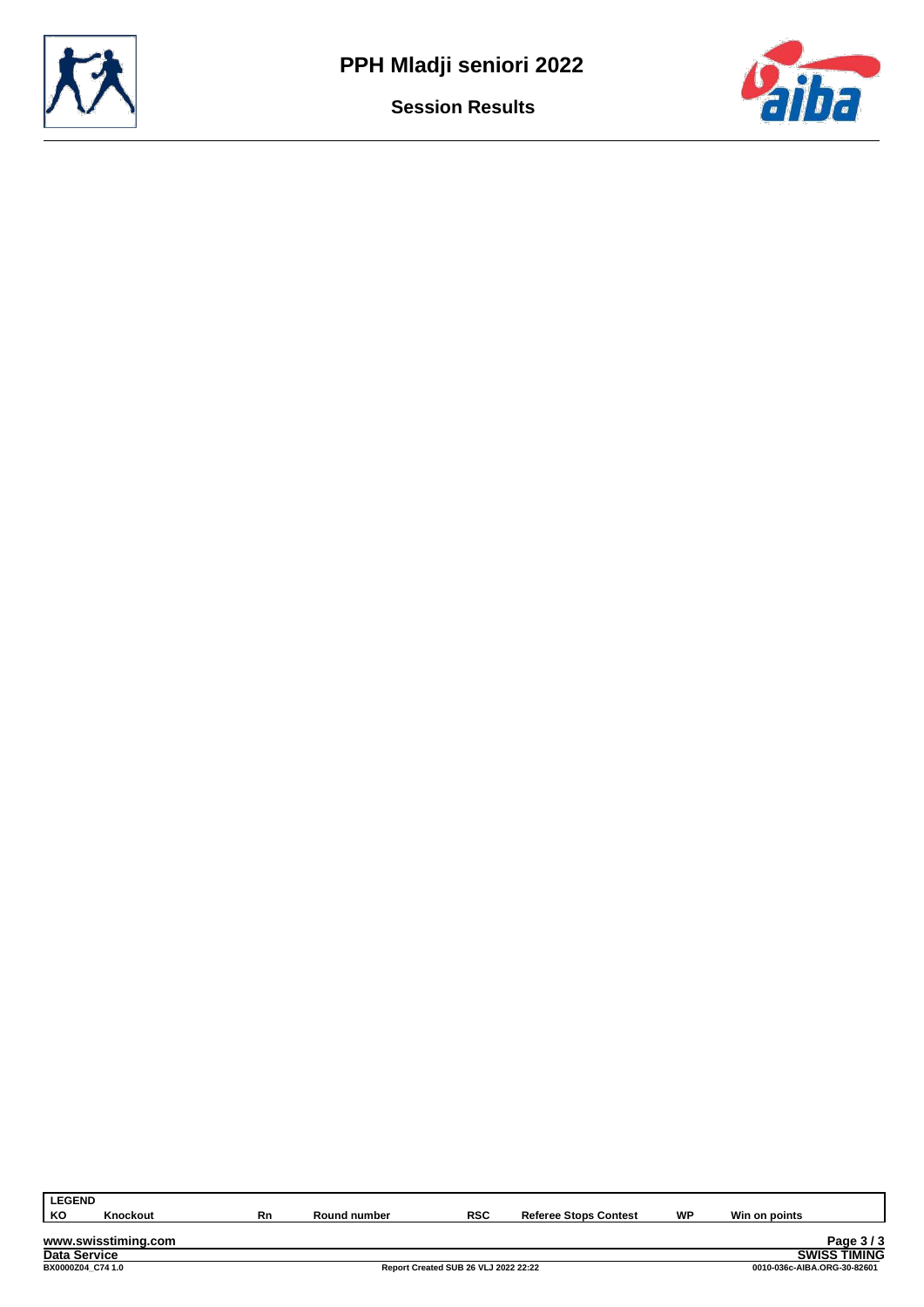



| <b>LEGEND</b>       |                     |    |              |            |                              |    |               |                        |
|---------------------|---------------------|----|--------------|------------|------------------------------|----|---------------|------------------------|
| KО                  | Knockout            | Rn | Round number | <b>RSC</b> | <b>Referee Stops Contest</b> | WP | Win on points |                        |
|                     |                     |    |              |            |                              |    |               |                        |
|                     | www.swisstiming.com |    |              |            |                              |    |               | Page 3/3               |
| <b>Data Service</b> |                     |    |              |            |                              |    |               | TIMING<br><b>SWISS</b> |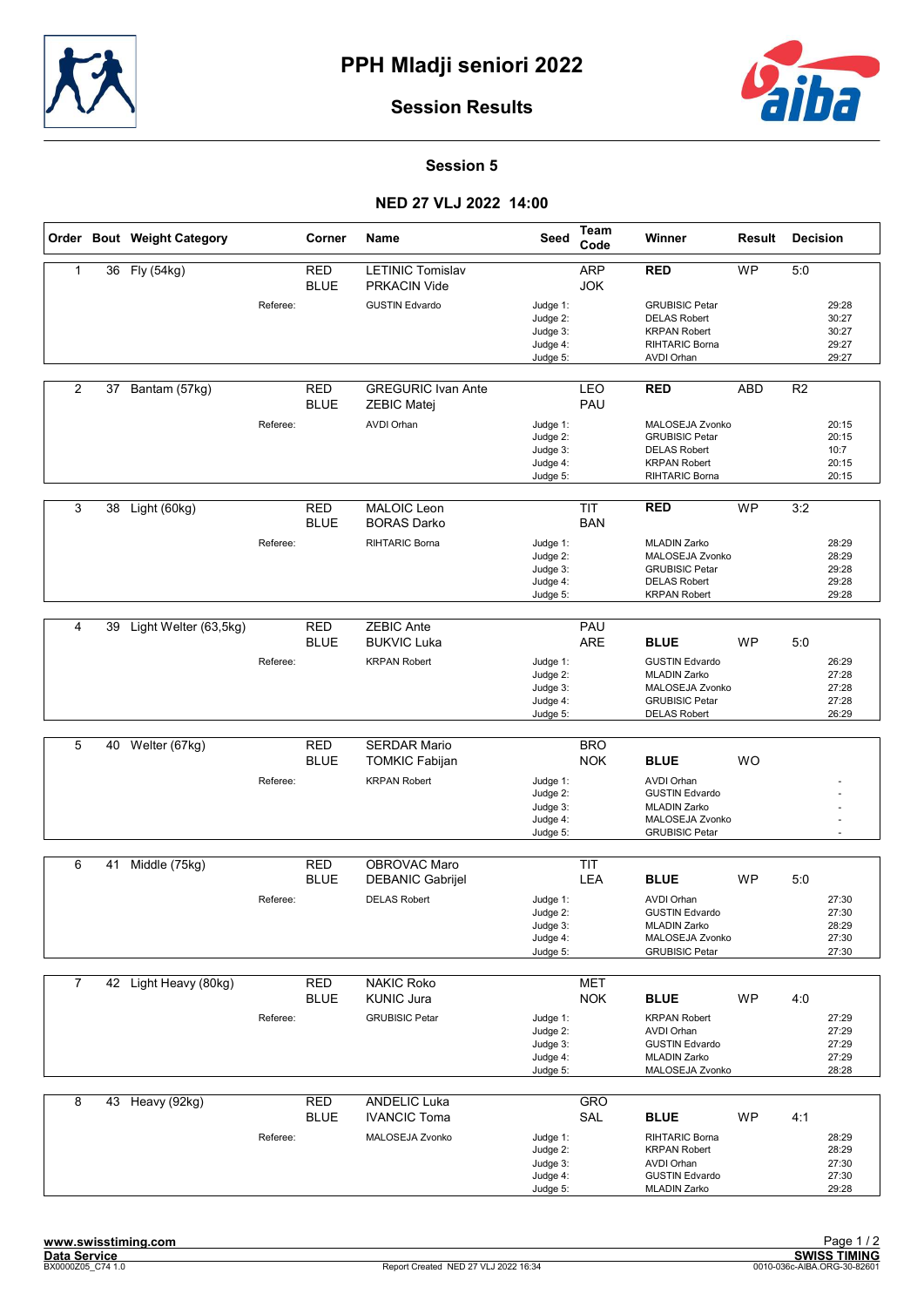



#### Session 5

## NED 27 VLJ 2022 14:00

|                |    | Order Bout Weight Category |          | Corner                    | Name                                            | Seed                                                     | Team<br>Code             | Winner                                                                                                                         | Result     | <b>Decision</b> |                                           |
|----------------|----|----------------------------|----------|---------------------------|-------------------------------------------------|----------------------------------------------------------|--------------------------|--------------------------------------------------------------------------------------------------------------------------------|------------|-----------------|-------------------------------------------|
| 1              | 36 | Fly (54kg)                 |          | <b>RED</b><br><b>BLUE</b> | <b>LETINIC Tomislav</b><br><b>PRKACIN Vide</b>  |                                                          | <b>ARP</b><br><b>JOK</b> | <b>RED</b>                                                                                                                     | <b>WP</b>  | 5:0             |                                           |
|                |    |                            | Referee: |                           | <b>GUSTIN Edvardo</b>                           | Judge 1:<br>Judge 2:<br>Judge 3:<br>Judge 4:<br>Judge 5: |                          | <b>GRUBISIC Petar</b><br><b>DELAS Robert</b><br><b>KRPAN Robert</b><br>RIHTARIC Borna<br><b>AVDI Orhan</b>                     |            |                 | 29:28<br>30:27<br>30:27<br>29:27<br>29:27 |
| 2              | 37 | Bantam (57kg)              |          | <b>RED</b><br><b>BLUE</b> | <b>GREGURIC Ivan Ante</b><br><b>ZEBIC Matej</b> |                                                          | LEO<br>PAU               | <b>RED</b>                                                                                                                     | <b>ABD</b> | R <sub>2</sub>  |                                           |
|                |    |                            | Referee: |                           | <b>AVDI Orhan</b>                               | Judge 1:<br>Judge 2:<br>Judge 3:<br>Judge 4:<br>Judge 5: |                          | MALOSEJA Zvonko<br><b>GRUBISIC Petar</b><br><b>DELAS Robert</b><br><b>KRPAN Robert</b><br>RIHTARIC Borna                       |            |                 | 20:15<br>20:15<br>10:7<br>20:15<br>20:15  |
| 3              | 38 | Light (60kg)               |          | <b>RED</b><br><b>BLUE</b> | MALOIC Leon<br><b>BORAS Darko</b>               |                                                          | <b>TIT</b><br><b>BAN</b> | <b>RED</b>                                                                                                                     | <b>WP</b>  | 3:2             |                                           |
|                |    |                            | Referee: |                           | <b>RIHTARIC Borna</b>                           | Judge 1:<br>Judge 2:<br>Judge 3:<br>Judge 4:<br>Judge 5: |                          | <b>MLADIN Zarko</b><br>MALOSEJA Zvonko<br><b>GRUBISIC Petar</b><br><b>DELAS Robert</b><br><b>KRPAN Robert</b>                  |            |                 | 28:29<br>28:29<br>29:28<br>29:28<br>29:28 |
| $\overline{4}$ | 39 | Light Welter (63,5kg)      |          | <b>RED</b>                | <b>ZEBIC Ante</b>                               |                                                          | PAU                      |                                                                                                                                |            |                 |                                           |
|                |    |                            | Referee: | <b>BLUE</b>               | <b>BUKVIC Luka</b><br><b>KRPAN Robert</b>       | Judge 1:<br>Judge 2:<br>Judge 3:<br>Judge 4:<br>Judge 5: | <b>ARE</b>               | <b>BLUE</b><br><b>GUSTIN Edvardo</b><br><b>MLADIN Zarko</b><br>MALOSEJA Zvonko<br><b>GRUBISIC Petar</b><br><b>DELAS Robert</b> | <b>WP</b>  | 5:0             | 26:29<br>27:28<br>27:28<br>27:28<br>26:29 |
|                |    |                            |          |                           |                                                 |                                                          |                          |                                                                                                                                |            |                 |                                           |
| 5              | 40 | Welter (67kg)              |          | <b>RED</b><br><b>BLUE</b> | <b>SERDAR Mario</b><br><b>TOMKIC Fabijan</b>    |                                                          | <b>BRO</b><br><b>NOK</b> | <b>BLUE</b>                                                                                                                    | <b>WO</b>  |                 |                                           |
|                |    |                            | Referee: |                           | <b>KRPAN Robert</b>                             | Judge 1:<br>Judge 2:<br>Judge 3:<br>Judge 4:<br>Judge 5: |                          | <b>AVDI Orhan</b><br><b>GUSTIN Edvardo</b><br><b>MLADIN Zarko</b><br>MALOSEJA Zvonko<br><b>GRUBISIC Petar</b>                  |            |                 |                                           |
| 6              | 41 | Middle (75kg)              |          | <b>RED</b>                | OBROVAC Maro                                    |                                                          | <b>TIT</b>               |                                                                                                                                |            |                 |                                           |
|                |    |                            |          | <b>BLUE</b>               | <b>DEBANIC Gabrijel</b>                         |                                                          | <b>LEA</b>               | <b>BLUE</b>                                                                                                                    | <b>WP</b>  | 5:0             |                                           |
|                |    |                            | Referee: |                           | <b>DELAS Robert</b>                             | Judge 1:<br>Judge 2:<br>Judge 3:<br>Judge 4:<br>Judge 5: |                          | <b>AVDI Orhan</b><br><b>GUSTIN Edvardo</b><br><b>MLADIN Zarko</b><br>MALOSEJA Zvonko<br><b>GRUBISIC Petar</b>                  |            |                 | 27:30<br>27:30<br>28:29<br>27:30<br>27:30 |
| $\overline{7}$ |    | 42 Light Heavy (80kg)      |          | <b>RED</b>                | <b>NAKIC Roko</b>                               |                                                          | <b>MET</b>               |                                                                                                                                |            |                 |                                           |
|                |    |                            |          | <b>BLUE</b>               | <b>KUNIC Jura</b>                               |                                                          | <b>NOK</b>               | <b>BLUE</b>                                                                                                                    | <b>WP</b>  | 4:0             |                                           |
|                |    |                            | Referee: |                           | <b>GRUBISIC Petar</b>                           | Judge 1:<br>Judge 2:<br>Judge 3:<br>Judge 4:<br>Judge 5: |                          | <b>KRPAN Robert</b><br><b>AVDI Orhan</b><br><b>GUSTIN Edvardo</b><br><b>MLADIN Zarko</b><br>MALOSEJA Zvonko                    |            |                 | 27:29<br>27:29<br>27:29<br>27:29<br>28:28 |
| 8              |    | 43 Heavy (92kg)            |          | <b>RED</b>                | <b>ANDELIC Luka</b>                             |                                                          | GRO                      |                                                                                                                                |            |                 |                                           |
|                |    |                            | Referee: | <b>BLUE</b>               | <b>IVANCIC Toma</b><br>MALOSEJA Zvonko          | Judge 1:<br>Judge 2:<br>Judge 3:                         | SAL                      | <b>BLUE</b><br>RIHTARIC Borna<br><b>KRPAN Robert</b><br><b>AVDI Orhan</b>                                                      | WP         | 4:1             | 28:29<br>28:29<br>27:30                   |
|                |    |                            |          |                           |                                                 | Judge 4:<br>Judge 5:                                     |                          | <b>GUSTIN Edvardo</b><br><b>MLADIN Zarko</b>                                                                                   |            |                 | 27:30<br>29:28                            |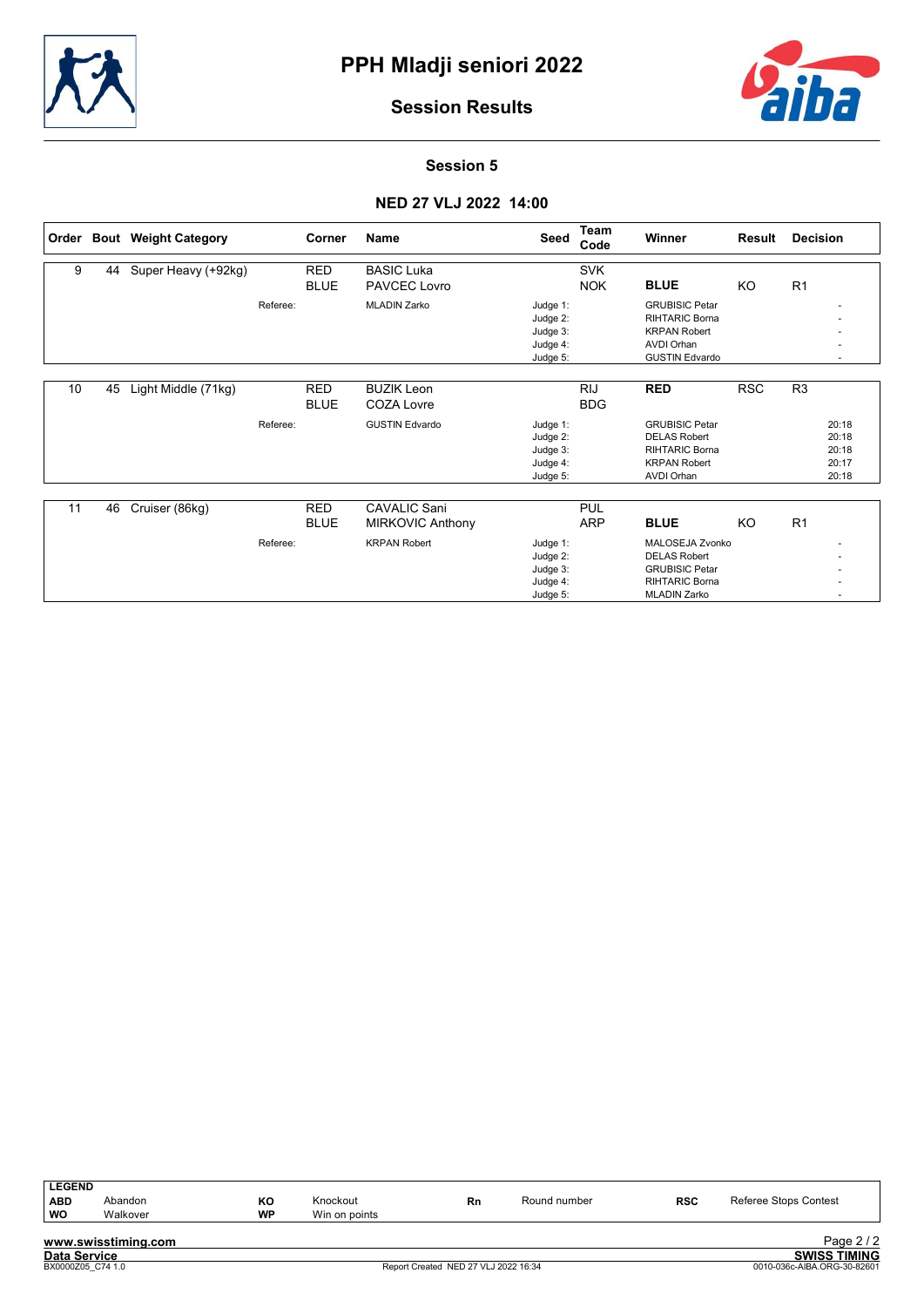



Session 5

## NED 27 VLJ 2022 14:00

| Order |    | <b>Bout</b> Weight Category |          | Corner      | <b>Name</b>             | Seed     | Team<br>Code | Winner                | Result     | <b>Decision</b> |
|-------|----|-----------------------------|----------|-------------|-------------------------|----------|--------------|-----------------------|------------|-----------------|
| 9     | 44 | Super Heavy (+92kg)         |          | <b>RED</b>  | <b>BASIC Luka</b>       |          | <b>SVK</b>   |                       |            |                 |
|       |    |                             |          | <b>BLUE</b> | PAVCEC Lovro            |          | <b>NOK</b>   | <b>BLUE</b>           | KO         | R1              |
|       |    |                             | Referee: |             | <b>MLADIN Zarko</b>     | Judge 1: |              | <b>GRUBISIC Petar</b> |            |                 |
|       |    |                             |          |             |                         | Judge 2: |              | <b>RIHTARIC Borna</b> |            |                 |
|       |    |                             |          |             |                         | Judge 3: |              | <b>KRPAN Robert</b>   |            |                 |
|       |    |                             |          |             |                         | Judge 4: |              | <b>AVDI Orhan</b>     |            |                 |
|       |    |                             |          |             |                         | Judge 5: |              | <b>GUSTIN Edvardo</b> |            |                 |
|       |    |                             |          |             |                         |          |              |                       |            |                 |
| 10    | 45 | Light Middle (71kg)         |          | <b>RED</b>  | <b>BUZIK Leon</b>       |          | <b>RIJ</b>   | <b>RED</b>            | <b>RSC</b> | R <sub>3</sub>  |
|       |    |                             |          | <b>BLUE</b> | <b>COZA Lovre</b>       |          | <b>BDG</b>   |                       |            |                 |
|       |    |                             | Referee: |             | <b>GUSTIN Edvardo</b>   | Judge 1: |              | <b>GRUBISIC Petar</b> |            | 20:18           |
|       |    |                             |          |             |                         | Judge 2: |              | <b>DELAS Robert</b>   |            | 20:18           |
|       |    |                             |          |             |                         | Judge 3: |              | <b>RIHTARIC Borna</b> |            | 20:18           |
|       |    |                             |          |             |                         | Judge 4: |              | <b>KRPAN Robert</b>   |            | 20:17           |
|       |    |                             |          |             |                         | Judge 5: |              | <b>AVDI Orhan</b>     |            | 20:18           |
|       |    |                             |          |             |                         |          |              |                       |            |                 |
| 11    | 46 | Cruiser (86kg)              |          | <b>RED</b>  | <b>CAVALIC Sani</b>     |          | <b>PUL</b>   |                       |            |                 |
|       |    |                             |          | <b>BLUE</b> | <b>MIRKOVIC Anthony</b> |          | <b>ARP</b>   | <b>BLUE</b>           | KO         | R <sub>1</sub>  |
|       |    |                             | Referee: |             | <b>KRPAN Robert</b>     | Judge 1: |              | MALOSEJA Zvonko       |            |                 |
|       |    |                             |          |             |                         | Judge 2: |              | <b>DELAS Robert</b>   |            |                 |
|       |    |                             |          |             |                         | Judge 3: |              | <b>GRUBISIC Petar</b> |            |                 |
|       |    |                             |          |             |                         | Judge 4: |              | <b>RIHTARIC Borna</b> |            |                 |
|       |    |                             |          |             |                         | Judge 5: |              | <b>MLADIN Zarko</b>   |            |                 |

| <b>LEGEND</b>       |                     |    |               |                                      |              |            |                             |
|---------------------|---------------------|----|---------------|--------------------------------------|--------------|------------|-----------------------------|
| <b>ABD</b>          | Abandon             | КO | Knockout      | Rn                                   | Round number | <b>RSC</b> | Referee Stops Contest       |
| <b>WO</b>           | Walkover            | WP | Win on points |                                      |              |            |                             |
|                     | www.swisstiming.com |    |               |                                      |              |            | Page $2/2$                  |
| <b>Data Service</b> |                     |    |               |                                      |              |            | <b>SWISS TIMING</b>         |
| BX0000Z05 C74 1.0   |                     |    |               | Report Created NED 27 VLJ 2022 16:34 |              |            | 0010-036c-AIBA.ORG-30-82601 |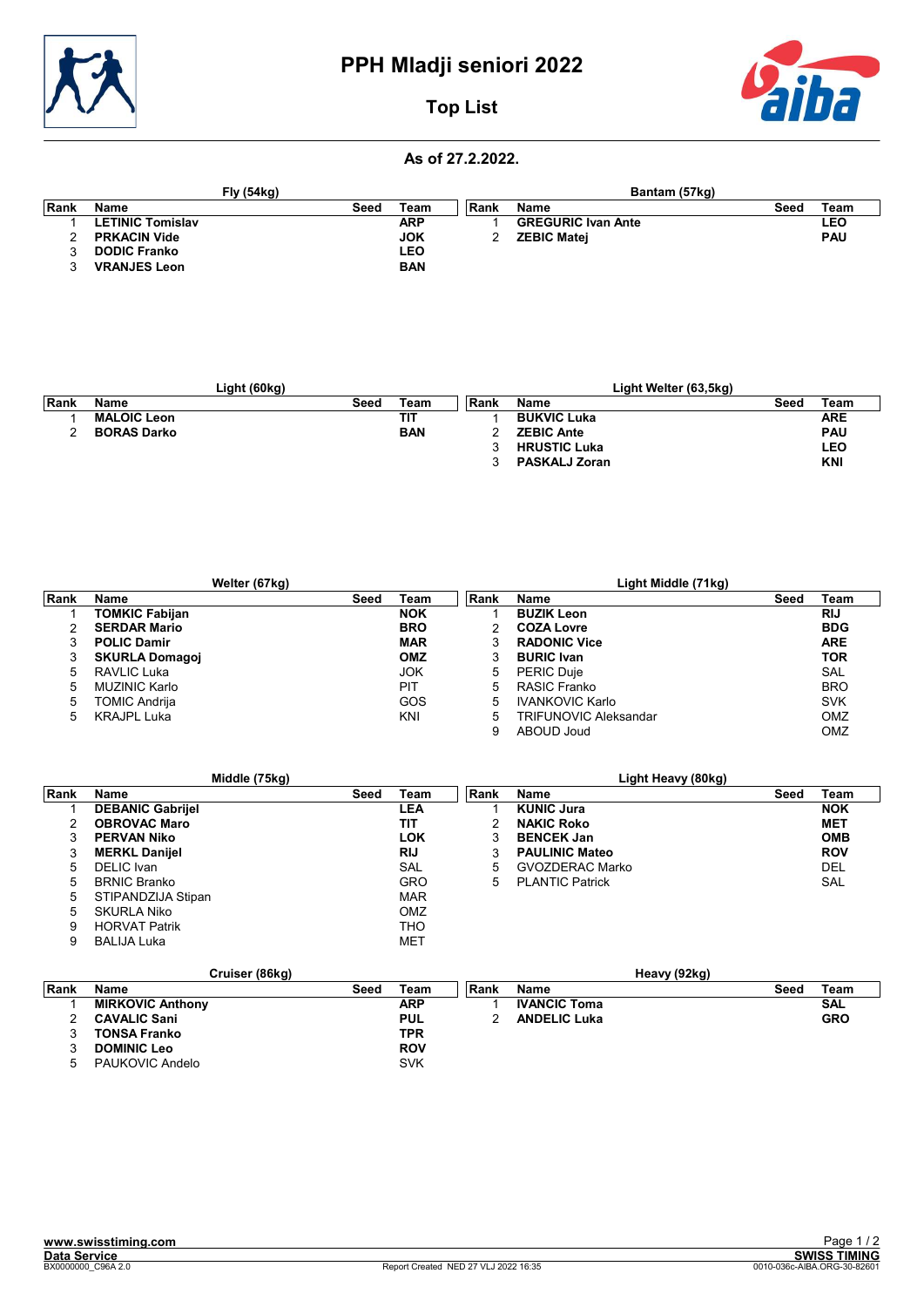

# PPH Mladji seniori 2022



# Top List

#### As of 27.2.2022.

|      |                         | <b>Fly (54kg)</b> |            |       | Bantam (57kg)             |      |            |
|------|-------------------------|-------------------|------------|-------|---------------------------|------|------------|
| Rank | Name                    | Seed              | Team       | ∣Rank | <b>Name</b>               | Seed | Team       |
|      | <b>LETINIC Tomislav</b> |                   | <b>ARP</b> |       | <b>GREGURIC Ivan Ante</b> |      | LEO        |
|      | <b>PRKACIN Vide</b>     |                   | <b>JOK</b> |       | <b>ZEBIC Matei</b>        |      | <b>PAU</b> |
|      | <b>DODIC Franko</b>     |                   | <b>LEO</b> |       |                           |      |            |
|      | <b>VRANJES Leon</b>     |                   | <b>BAN</b> |       |                           |      |            |

|       | Light (60kg)       |      |            |      | Light Welter (63,5kg) |      |            |
|-------|--------------------|------|------------|------|-----------------------|------|------------|
| ∣Rank | <b>Name</b>        | Seed | Team       | Rank | <b>Name</b>           | Seed | Team       |
|       | <b>MALOIC Leon</b> |      | <b>TIT</b> |      | <b>BUKVIC Luka</b>    |      | <b>ARE</b> |
|       | <b>BORAS Darko</b> |      | <b>BAN</b> |      | <b>ZEBIC Ante</b>     |      | <b>PAU</b> |
|       |                    |      |            |      | <b>HRUSTIC Luka</b>   |      | LEO        |
|       |                    |      |            |      | <b>PASKALJ Zoran</b>  |      | <b>KNI</b> |

| Welter (67kg) |                       |      |            | Light Middle (71kg) |                        |      |            |
|---------------|-----------------------|------|------------|---------------------|------------------------|------|------------|
| Rank          | Name                  | Seed | Team       | Rank                | <b>Name</b>            | Seed | Team       |
|               | <b>TOMKIC Fabijan</b> |      | <b>NOK</b> |                     | <b>BUZIK Leon</b>      |      | <b>RIJ</b> |
| 2             | <b>SERDAR Mario</b>   |      | <b>BRO</b> |                     | <b>COZA Lovre</b>      |      | <b>BDG</b> |
| 3             | <b>POLIC Damir</b>    |      | <b>MAR</b> | 3                   | <b>RADONIC Vice</b>    |      | <b>ARE</b> |
| 3             | <b>SKURLA Domagoi</b> |      | <b>OMZ</b> |                     | <b>BURIC Ivan</b>      |      | <b>TOR</b> |
| -5            | RAVLIC Luka           |      | <b>JOK</b> | 5                   | <b>PERIC Duje</b>      |      | SAL        |
| 5             | MUZINIC Karlo         |      | PIT        | 5                   | RASIC Franko           |      | <b>BRO</b> |
| 5             | <b>TOMIC Andrija</b>  |      | GOS        | 5                   | <b>IVANKOVIC Karlo</b> |      | <b>SVK</b> |
| 5             | <b>KRAJPL Luka</b>    |      | KNI        | 5                   | TRIFUNOVIC Aleksandar  |      | OMZ        |
|               |                       |      |            | 9                   | ABOUD Joud             |      | OMZ        |

|      | Middle (75kg)           |      |            |      | Light Heavy (80kg)     |      |            |
|------|-------------------------|------|------------|------|------------------------|------|------------|
| Rank | Name                    | Seed | Team       | Rank | Name                   | Seed | Team       |
|      | <b>DEBANIC Gabrijel</b> |      | LEA        |      | <b>KUNIC Jura</b>      |      | <b>NOK</b> |
| 2    | <b>OBROVAC Maro</b>     |      | TIT        |      | <b>NAKIC Roko</b>      |      | <b>MET</b> |
| 3    | <b>PERVAN Niko</b>      |      | LOK        | 3    | <b>BENCEK Jan</b>      |      | <b>OMB</b> |
| 3    | <b>MERKL Danijel</b>    |      | <b>RIJ</b> | 3    | <b>PAULINIC Mateo</b>  |      | <b>ROV</b> |
| 5    | DELIC Ivan              |      | <b>SAL</b> | 5    | <b>GVOZDERAC Marko</b> |      | DEL        |
| 5    | <b>BRNIC Branko</b>     |      | <b>GRO</b> | 5    | <b>PLANTIC Patrick</b> |      | SAL        |
| 5    | STIPANDZIJA Stipan      |      | <b>MAR</b> |      |                        |      |            |
| 5    | SKURLA Niko             |      | OMZ        |      |                        |      |            |
| 9    | <b>HORVAT Patrik</b>    |      | THO        |      |                        |      |            |
| 9    | <b>BALIJA Luka</b>      |      | <b>MET</b> |      |                        |      |            |

|      | Cruiser (86kg)          |      |            |      |                     | Heavy (92kg) |      |            |
|------|-------------------------|------|------------|------|---------------------|--------------|------|------------|
| Rank | Name                    | Seed | Team       | Rank | <b>Name</b>         |              | Seed | Team       |
|      | <b>MIRKOVIC Anthony</b> |      | ARP        |      | <b>IVANCIC Toma</b> |              |      | <b>SAL</b> |
|      | <b>CAVALIC Sani</b>     |      | <b>PUL</b> |      | <b>ANDELIC Luka</b> |              |      | <b>GRO</b> |
| ື    | <b>TONSA Franko</b>     |      | TPR        |      |                     |              |      |            |
|      | <b>DOMINIC Leo</b>      |      | <b>ROV</b> |      |                     |              |      |            |
|      | PAUKOVIC Andelo         |      | SVK        |      |                     |              |      |            |